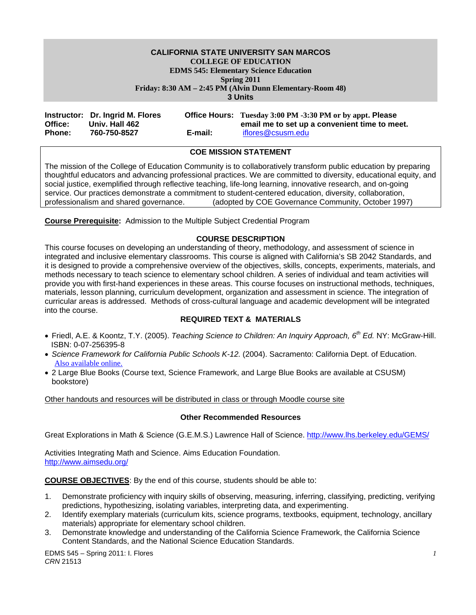# **CALIFORNIA STATE UNIVERSITY SAN MARCOS COLLEGE OF EDUCATION EDMS 545: Elementary Science Education Spring 2011 Friday: 8:30 AM – 2:45 PM (Alvin Dunn Elementary-Room 48)**

**3 Units** 

| Office:       | Instructor: Dr. Ingrid M. Flores<br>Univ. Hall 462 |         | <b>Office Hours:</b> Tuesday 3:00 PM -3:30 PM or by appt. Please<br>email me to set up a convenient time to meet. |
|---------------|----------------------------------------------------|---------|-------------------------------------------------------------------------------------------------------------------|
| <b>Phone:</b> | 760-750-8527                                       | E-mail: | iflores@csusm.edu                                                                                                 |

# **COE MISSION STATEMENT**

The mission of the College of Education Community is to collaboratively transform public education by preparing thoughtful educators and advancing professional practices. We are committed to diversity, educational equity, and social justice, exemplified through reflective teaching, life-long learning, innovative research, and on-going service. Our practices demonstrate a commitment to student-centered education, diversity, collaboration, professionalism and shared governance. (adopted by COE Governance Community, October 1997)

**Course Prerequisite:** Admission to the Multiple Subject Credential Program

# **COURSE DESCRIPTION**

This course focuses on developing an understanding of theory, methodology, and assessment of science in integrated and inclusive elementary classrooms. This course is aligned with California's SB 2042 Standards, and it is designed to provide a comprehensive overview of the objectives, skills, concepts, experiments, materials, and methods necessary to teach science to elementary school children. A series of individual and team activities will provide you with first-hand experiences in these areas. This course focuses on instructional methods, techniques, materials, lesson planning, curriculum development, organization and assessment in science. The integration of curricular areas is addressed. Methods of cross-cultural language and academic development will be integrated into the course.

#### **REQUIRED TEXT & MATERIALS**

- Friedl, A.E. & Koontz, T.Y. (2005). *Teaching Science to Children: An Inquiry Approach, 6th Ed.* NY: McGraw-Hill. ISBN: 0-07-256395-8
- *Science Framework for California Public Schools K-12.* (2004). Sacramento: California Dept. of Education. Also available online.
- 2 Large Blue Books (Course text, Science Framework, and Large Blue Books are available at CSUSM) bookstore)

Other handouts and resources will be distributed in class or through Moodle course site

#### **Other Recommended Resources**

Great Explorations in Math & Science (G.E.M.S.) Lawrence Hall of Science. http://www.lhs.berkeley.edu/GEMS/

Activities Integrating Math and Science. Aims Education Foundation. http://www.aimsedu.org/

**COURSE OBJECTIVES**: By the end of this course, students should be able to:

- 1. Demonstrate proficiency with inquiry skills of observing, measuring, inferring, classifying, predicting, verifying predictions, hypothesizing, isolating variables, interpreting data, and experimenting.
- 2. Identify exemplary materials (curriculum kits, science programs, textbooks, equipment, technology, ancillary materials) appropriate for elementary school children.
- 3. Demonstrate knowledge and understanding of the California Science Framework, the California Science Content Standards, and the National Science Education Standards.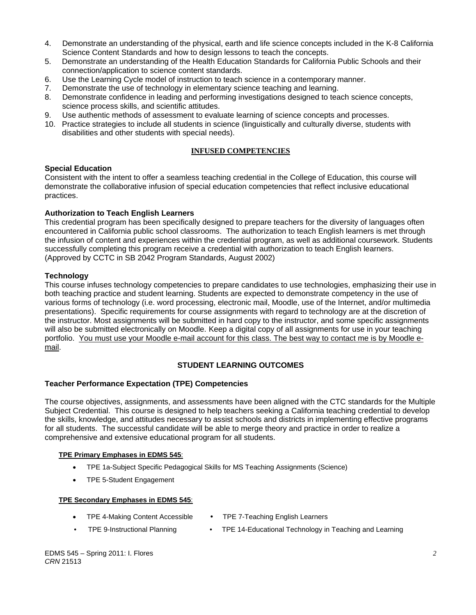- 4. Demonstrate an understanding of the physical, earth and life science concepts included in the K-8 California Science Content Standards and how to design lessons to teach the concepts.
- 5. Demonstrate an understanding of the Health Education Standards for California Public Schools and their connection/application to science content standards.
- 6. Use the Learning Cycle model of instruction to teach science in a contemporary manner.
- 7. Demonstrate the use of technology in elementary science teaching and learning.
- 8. Demonstrate confidence in leading and performing investigations designed to teach science concepts, science process skills, and scientific attitudes.
- 9. Use authentic methods of assessment to evaluate learning of science concepts and processes.
- 10. Practice strategies to include all students in science (linguistically and culturally diverse, students with disabilities and other students with special needs).

# **INFUSED COMPETENCIES**

#### **Special Education**

Consistent with the intent to offer a seamless teaching credential in the College of Education, this course will demonstrate the collaborative infusion of special education competencies that reflect inclusive educational practices.

# **Authorization to Teach English Learners**

This credential program has been specifically designed to prepare teachers for the diversity of languages often encountered in California public school classrooms. The authorization to teach English learners is met through the infusion of content and experiences within the credential program, as well as additional coursework. Students successfully completing this program receive a credential with authorization to teach English learners. (Approved by CCTC in SB 2042 Program Standards, August 2002)

# **Technology**

This course infuses technology competencies to prepare candidates to use technologies, emphasizing their use in both teaching practice and student learning. Students are expected to demonstrate competency in the use of various forms of technology (i.e. word processing, electronic mail, Moodle, use of the Internet, and/or multimedia presentations). Specific requirements for course assignments with regard to technology are at the discretion of the instructor. Most assignments will be submitted in hard copy to the instructor, and some specific assignments will also be submitted electronically on Moodle. Keep a digital copy of all assignments for use in your teaching portfolio. You must use your Moodle e-mail account for this class. The best way to contact me is by Moodle email.

# **STUDENT LEARNING OUTCOMES**

#### **Teacher Performance Expectation (TPE) Competencies**

The course objectives, assignments, and assessments have been aligned with the CTC standards for the Multiple Subject Credential. This course is designed to help teachers seeking a California teaching credential to develop the skills, knowledge, and attitudes necessary to assist schools and districts in implementing effective programs for all students. The successful candidate will be able to merge theory and practice in order to realize a comprehensive and extensive educational program for all students.

#### **TPE Primary Emphases in EDMS 545**:

- TPE 1a-Subject Specific Pedagogical Skills for MS Teaching Assignments (Science)
- TPE 5-Student Engagement

#### **TPE Secondary Emphases in EDMS 545**:

- TPE 4-Making Content Accessible
- TPE 7-Teaching English Learners
- TPE 9-Instructional Planning TPE 14-Educational Technology in Teaching and Learning
	-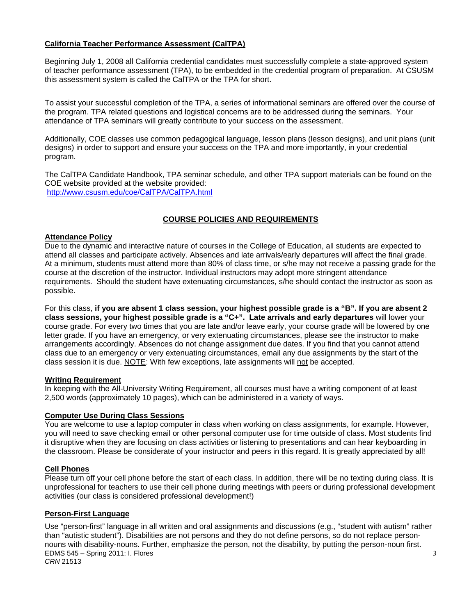# **California Teacher Performance Assessment (CalTPA)**

Beginning July 1, 2008 all California credential candidates must successfully complete a state-approved system of teacher performance assessment (TPA), to be embedded in the credential program of preparation. At CSUSM this assessment system is called the CalTPA or the TPA for short.

To assist your successful completion of the TPA, a series of informational seminars are offered over the course of the program. TPA related questions and logistical concerns are to be addressed during the seminars. Your attendance of TPA seminars will greatly contribute to your success on the assessment.

Additionally, COE classes use common pedagogical language, lesson plans (lesson designs), and unit plans (unit designs) in order to support and ensure your success on the TPA and more importantly, in your credential program.

The CalTPA Candidate Handbook, TPA seminar schedule, and other TPA support materials can be found on the COE website provided at the website provided: http://www.csusm.edu/coe/CalTPA/CalTPA.html

# **COURSE POLICIES AND REQUIREMENTS**

# **Attendance Policy**

Due to the dynamic and interactive nature of courses in the College of Education, all students are expected to attend all classes and participate actively. Absences and late arrivals/early departures will affect the final grade. At a minimum, students must attend more than 80% of class time, or s/he may not receive a passing grade for the course at the discretion of the instructor. Individual instructors may adopt more stringent attendance requirements. Should the student have extenuating circumstances, s/he should contact the instructor as soon as possible.

For this class, **if you are absent 1 class session, your highest possible grade is a "B". If you are absent 2 class sessions, your highest possible grade is a "C+". Late arrivals and early departures** will lower your course grade. For every two times that you are late and/or leave early, your course grade will be lowered by one letter grade. If you have an emergency, or very extenuating circumstances, please see the instructor to make arrangements accordingly. Absences do not change assignment due dates. If you find that you cannot attend class due to an emergency or very extenuating circumstances, email any due assignments by the start of the class session it is due. NOTE: With few exceptions, late assignments will not be accepted.

#### **Writing Requirement**

In keeping with the All-University Writing Requirement, all courses must have a writing component of at least 2,500 words (approximately 10 pages), which can be administered in a variety of ways.

#### **Computer Use During Class Sessions**

You are welcome to use a laptop computer in class when working on class assignments, for example. However, you will need to save checking email or other personal computer use for time outside of class. Most students find it disruptive when they are focusing on class activities or listening to presentations and can hear keyboarding in the classroom. Please be considerate of your instructor and peers in this regard. It is greatly appreciated by all!

#### **Cell Phones**

Please turn off your cell phone before the start of each class. In addition, there will be no texting during class. It is unprofessional for teachers to use their cell phone during meetings with peers or during professional development activities (our class is considered professional development!)

#### **Person-First Language**

Use "person-first" language in all written and oral assignments and discussions (e.g., "student with autism" rather than "autistic student"). Disabilities are not persons and they do not define persons, so do not replace personnouns with disability-nouns. Further, emphasize the person, not the disability, by putting the person-noun first. EDMS 545 – Spring 2011: I. Flores *CRN* 21513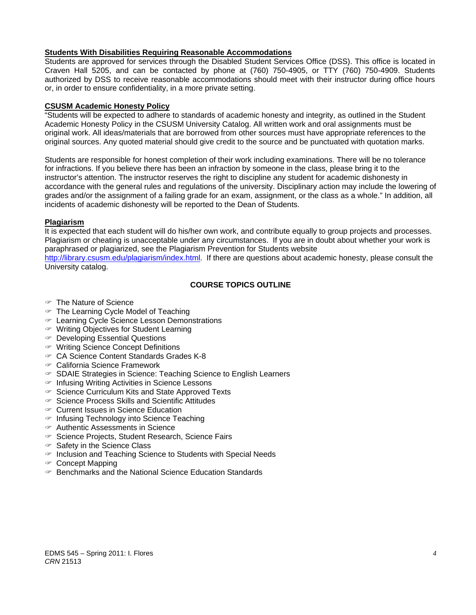# **Students With Disabilities Requiring Reasonable Accommodations**

Students are approved for services through the Disabled Student Services Office (DSS). This office is located in Craven Hall 5205, and can be contacted by phone at (760) 750-4905, or TTY (760) 750-4909. Students authorized by DSS to receive reasonable accommodations should meet with their instructor during office hours or, in order to ensure confidentiality, in a more private setting.

### **CSUSM Academic Honesty Policy**

"Students will be expected to adhere to standards of academic honesty and integrity, as outlined in the Student Academic Honesty Policy in the CSUSM University Catalog. All written work and oral assignments must be original work. All ideas/materials that are borrowed from other sources must have appropriate references to the original sources. Any quoted material should give credit to the source and be punctuated with quotation marks.

Students are responsible for honest completion of their work including examinations. There will be no tolerance for infractions. If you believe there has been an infraction by someone in the class, please bring it to the instructor's attention. The instructor reserves the right to discipline any student for academic dishonesty in accordance with the general rules and regulations of the university. Disciplinary action may include the lowering of grades and/or the assignment of a failing grade for an exam, assignment, or the class as a whole." In addition, all incidents of academic dishonesty will be reported to the Dean of Students.

# **Plagiarism**

It is expected that each student will do his/her own work, and contribute equally to group projects and processes. Plagiarism or cheating is unacceptable under any circumstances. If you are in doubt about whether your work is paraphrased or plagiarized, see the Plagiarism Prevention for Students website

http://library.csusm.edu/plagiarism/index.html. If there are questions about academic honesty, please consult the University catalog.

# **COURSE TOPICS OUTLINE**

- The Nature of Science
- $\in$  The Learning Cycle Model of Teaching
- Learning Cycle Science Lesson Demonstrations
- Writing Objectives for Student Learning
- Developing Essential Questions
- Writing Science Concept Definitions
- CA Science Content Standards Grades K-8
- California Science Framework
- $\in$  SDAIE Strategies in Science: Teaching Science to English Learners
- $\in$  Infusing Writing Activities in Science Lessons
- $\infty$  Science Curriculum Kits and State Approved Texts
- $\infty$  Science Process Skills and Scientific Attitudes
- Current Issues in Science Education
- $\in$  Infusing Technology into Science Teaching
- Authentic Assessments in Science
- $\infty$  Science Projects, Student Research, Science Fairs
- $\in$  Safety in the Science Class
- $\in$  Inclusion and Teaching Science to Students with Special Needs
- Concept Mapping
- $\in$  Benchmarks and the National Science Education Standards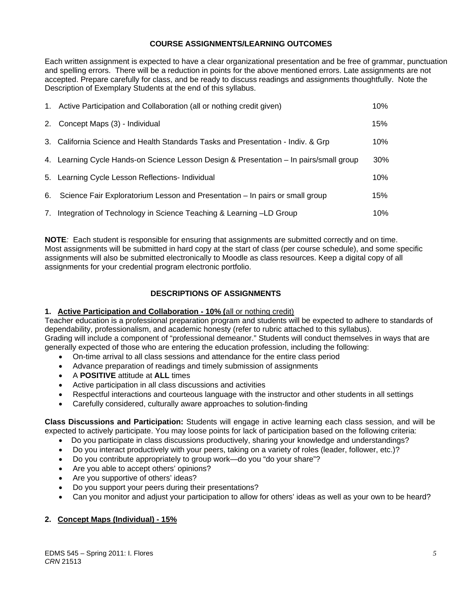# **COURSE ASSIGNMENTS/LEARNING OUTCOMES**

Each written assignment is expected to have a clear organizational presentation and be free of grammar, punctuation and spelling errors. There will be a reduction in points for the above mentioned errors. Late assignments are not accepted. Prepare carefully for class, and be ready to discuss readings and assignments thoughtfully. Note the Description of Exemplary Students at the end of this syllabus.

| 1. Active Participation and Collaboration (all or nothing credit given)                | 10% |
|----------------------------------------------------------------------------------------|-----|
| 2. Concept Maps (3) - Individual                                                       | 15% |
| 3. California Science and Health Standards Tasks and Presentation - Indiv. & Grp       | 10% |
| 4. Learning Cycle Hands-on Science Lesson Design & Presentation - In pairs/small group | 30% |
| 5. Learning Cycle Lesson Reflections- Individual                                       | 10% |
| 6. Science Fair Exploratorium Lesson and Presentation – In pairs or small group        | 15% |
| 7. Integration of Technology in Science Teaching & Learning -LD Group                  | 10% |

**NOTE***:* Each student is responsible for ensuring that assignments are submitted correctly and on time. Most assignments will be submitted in hard copy at the start of class (per course schedule), and some specific assignments will also be submitted electronically to Moodle as class resources. Keep a digital copy of all assignments for your credential program electronic portfolio.

# **DESCRIPTIONS OF ASSIGNMENTS**

# **1. Active Participation and Collaboration - 10% (**all or nothing credit)

Teacher education is a professional preparation program and students will be expected to adhere to standards of dependability, professionalism, and academic honesty (refer to rubric attached to this syllabus). Grading will include a component of "professional demeanor." Students will conduct themselves in ways that are generally expected of those who are entering the education profession, including the following:

- On-time arrival to all class sessions and attendance for the entire class period
- Advance preparation of readings and timely submission of assignments
- A **POSITIVE** attitude at **ALL** times
- Active participation in all class discussions and activities
- Respectful interactions and courteous language with the instructor and other students in all settings
- Carefully considered, culturally aware approaches to solution-finding

**Class Discussions and Participation:** Students will engage in active learning each class session, and will be expected to actively participate. You may loose points for lack of participation based on the following criteria:

- Do you participate in class discussions productively, sharing your knowledge and understandings?
- Do you interact productively with your peers, taking on a variety of roles (leader, follower, etc.)?
- Do you contribute appropriately to group work—do you "do your share"?
- Are you able to accept others' opinions?
- Are you supportive of others' ideas?
- Do you support your peers during their presentations?
- Can you monitor and adjust your participation to allow for others' ideas as well as your own to be heard?

# **2. Concept Maps (Individual) - 15%**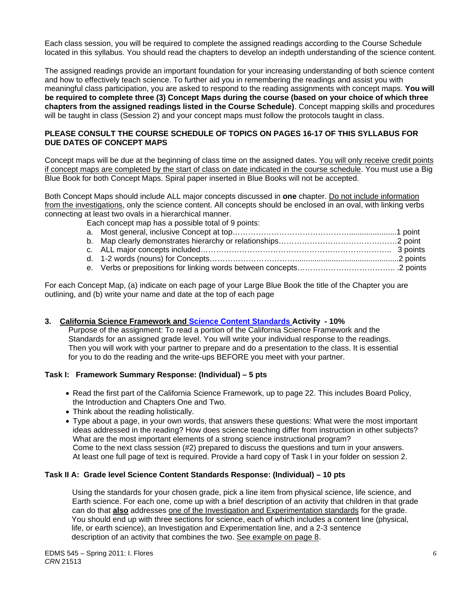Each class session, you will be required to complete the assigned readings according to the Course Schedule located in this syllabus. You should read the chapters to develop an indepth understanding of the science content.

The assigned readings provide an important foundation for your increasing understanding of both science content and how to effectively teach science. To further aid you in remembering the readings and assist you with meaningful class participation, you are asked to respond to the reading assignments with concept maps. **You will be required to complete three (3) Concept Maps during the course (based on your choice of which three chapters from the assigned readings listed in the Course Schedule)**. Concept mapping skills and procedures will be taught in class (Session 2) and your concept maps must follow the protocols taught in class.

# **PLEASE CONSULT THE COURSE SCHEDULE OF TOPICS ON PAGES 16-17 OF THIS SYLLABUS FOR DUE DATES OF CONCEPT MAPS**

Concept maps will be due at the beginning of class time on the assigned dates. You will only receive credit points if concept maps are completed by the start of class on date indicated in the course schedule. You must use a Big Blue Book for both Concept Maps. Spiral paper inserted in Blue Books will not be accepted.

Both Concept Maps should include ALL major concepts discussed in **one** chapter. Do not include information from the investigations, only the science content. All concepts should be enclosed in an oval, with linking verbs connecting at least two ovals in a hierarchical manner.

Each concept map has a possible total of 9 points:

For each Concept Map, (a) indicate on each page of your Large Blue Book the title of the Chapter you are outlining, and (b) write your name and date at the top of each page

# **3. California Science Framework and Science Content Standards Activity - 10%**

 Purpose of the assignment: To read a portion of the California Science Framework and the Standards for an assigned grade level. You will write your individual response to the readings. Then you will work with your partner to prepare and do a presentation to the class. It is essential for you to do the reading and the write-ups BEFORE you meet with your partner.

#### **Task I: Framework Summary Response: (Individual) – 5 pts**

- Read the first part of the California Science Framework, up to page 22. This includes Board Policy, the Introduction and Chapters One and Two.
- Think about the reading holistically.
- Type about a page, in your own words, that answers these questions: What were the most important ideas addressed in the reading? How does science teaching differ from instruction in other subjects? What are the most important elements of a strong science instructional program? Come to the next class session (#2) prepared to discuss the questions and turn in your answers. At least one full page of text is required. Provide a hard copy of Task I in your folder on session 2.

#### **Task II A: Grade level Science Content Standards Response: (Individual) – 10 pts**

 Using the standards for your chosen grade, pick a line item from physical science, life science, and Earth science. For each one, come up with a brief description of an activity that children in that grade can do that **also** addresses one of the Investigation and Experimentation standards for the grade. You should end up with three sections for science, each of which includes a content line (physical, life, or earth science), an Investigation and Experimentation line, and a 2-3 sentence description of an activity that combines the two. See example on page 8.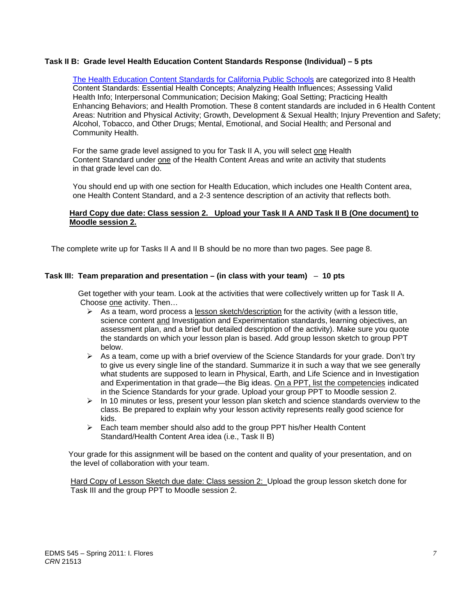### **Task II B: Grade level Health Education Content Standards Response (Individual) – 5 pts**

Enhancing Behaviors; and Health Promotion. These 8 content standards are included in 6 Health Content Alcohol, Tobacco, and Other Drugs; Mental, Emotional, and Social Health; and Personal and The Health Education Content Standards for California Public Schools are categorized into 8 Health Content Standards: Essential Health Concepts; Analyzing Health Influences; Assessing Valid Health Info; Interpersonal Communication; Decision Making; Goal Setting; Practicing Health Areas: Nutrition and Physical Activity; Growth, Development & Sexual Health; Injury Prevention and Safety; Community Health.

For the same grade level assigned to you for Task II A, you will select one Health Content Standard under one of the Health Content Areas and write an activity that students in that grade level can do.

You should end up with one section for Health Education, which includes one Health Content area, one Health Content Standard, and a 2-3 sentence description of an activity that reflects both.

### **Hard Copy due date: Class session 2. Upload your Task II A AND Task II B (One document) to Moodle session 2.**

The complete write up for Tasks II A and II B should be no more than two pages. See page 8.

#### **Task III: Team preparation and presentation – (in class with your team)** – **10 pts**

 Get together with your team. Look at the activities that were collectively written up for Task II A. Choose one activity. Then…

- $\triangleright$  As a team, word process a lesson sketch/description for the activity (with a lesson title, science content and Investigation and Experimentation standards, learning objectives, an assessment plan, and a brief but detailed description of the activity). Make sure you quote the standards on which your lesson plan is based. Add group lesson sketch to group PPT below.
- $\triangleright$  As a team, come up with a brief overview of the Science Standards for your grade. Don't try to give us every single line of the standard. Summarize it in such a way that we see generally what students are supposed to learn in Physical, Earth, and Life Science and in Investigation and Experimentation in that grade—the Big ideas. On a PPT, list the competencies indicated in the Science Standards for your grade. Upload your group PPT to Moodle session 2.
- $\triangleright$  In 10 minutes or less, present your lesson plan sketch and science standards overview to the class. Be prepared to explain why your lesson activity represents really good science for kids.
- $\triangleright$  Each team member should also add to the group PPT his/her Health Content Standard/Health Content Area idea (i.e., Task II B)

 Your grade for this assignment will be based on the content and quality of your presentation, and on the level of collaboration with your team.

 Hard Copy of Lesson Sketch due date: Class session 2: Upload the group lesson sketch done for Task III and the group PPT to Moodle session 2.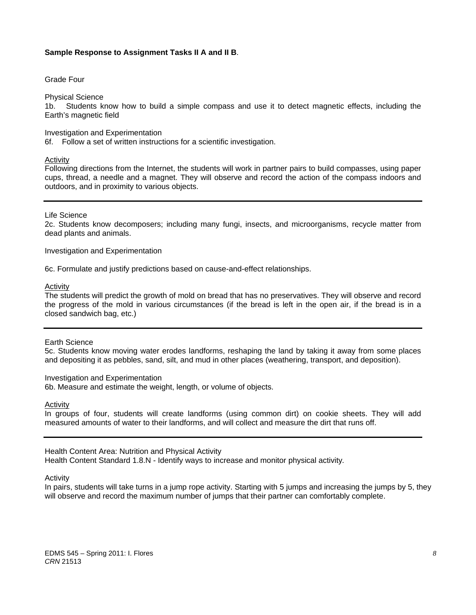#### **Sample Response to Assignment Tasks II A and II B**.

Grade Four

Physical Science

1b. Students know how to build a simple compass and use it to detect magnetic effects, including the Earth's magnetic field

#### Investigation and Experimentation

6f. Follow a set of written instructions for a scientific investigation.

#### Activity

Following directions from the Internet, the students will work in partner pairs to build compasses, using paper cups, thread, a needle and a magnet. They will observe and record the action of the compass indoors and outdoors, and in proximity to various objects.

#### Life Science

2c. Students know decomposers; including many fungi, insects, and microorganisms, recycle matter from dead plants and animals.

Investigation and Experimentation

6c. Formulate and justify predictions based on cause-and-effect relationships.

Activity

 the progress of the mold in various circumstances (if the bread is left in the open air, if the bread is in a The students will predict the growth of mold on bread that has no preservatives. They will observe and record closed sandwich bag, etc.)

#### Earth Science

5c. Students know moving water erodes landforms, reshaping the land by taking it away from some places and depositing it as pebbles, sand, silt, and mud in other places (weathering, transport, and deposition).

#### Investigation and Experimentation

6b. Measure and estimate the weight, length, or volume of objects.

Activity

In groups of four, students will create landforms (using common dirt) on cookie sheets. They will add measured amounts of water to their landforms, and will collect and measure the dirt that runs off.

#### Health Content Area: Nutrition and Physical Activity

Health Content Standard 1.8.N - Identify ways to increase and monitor physical activity*.* 

Activity

In pairs, students will take turns in a jump rope activity. Starting with 5 jumps and increasing the jumps by 5, they will observe and record the maximum number of jumps that their partner can comfortably complete.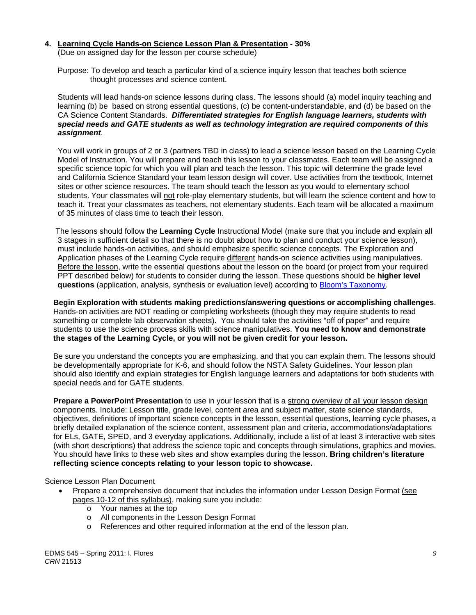#### **4. Learning Cycle Hands-on Science Lesson Plan & Presentation - 30%**

(Due on assigned day for the lesson per course schedule)

 Purpose: To develop and teach a particular kind of a science inquiry lesson that teaches both science thought processes and science content.

 Students will lead hands-on science lessons during class. The lessons should (a) model inquiry teaching and learning (b) be based on strong essential questions, (c) be content-understandable, and (d) be based on the CA Science Content Standards. *Differentiated strategies for English language learners, students with special needs and GATE students as well as technology integration are required components of this assignment.*

 You will work in groups of 2 or 3 (partners TBD in class) to lead a science lesson based on the Learning Cycle Model of Instruction. You will prepare and teach this lesson to your classmates. Each team will be assigned a specific science topic for which you will plan and teach the lesson. This topic will determine the grade level and California Science Standard your team lesson design will cover. Use activities from the textbook, Internet sites or other science resources. The team should teach the lesson as you would to elementary school students. Your classmates will not role-play elementary students, but will learn the science content and how to teach it. Treat your classmates as teachers, not elementary students. Each team will be allocated a maximum of 35 minutes of class time to teach their lesson.

 The lessons should follow the **Learning Cycle** Instructional Model (make sure that you include and explain all 3 stages in sufficient detail so that there is no doubt about how to plan and conduct your science lesson), must include hands-on activities, and should emphasize specific science concepts. The Exploration and Application phases of the Learning Cycle require different hands-on science activities using manipulatives. Before the lesson, write the essential questions about the lesson on the board (or project from your required PPT described below) for students to consider during the lesson. These questions should be **higher level questions** (application, analysis, synthesis or evaluation level) according to Bloom's Taxonomy.

**Begin Exploration with students making predictions/answering questions or accomplishing challenges**. Hands-on activities are NOT reading or completing worksheets (though they may require students to read something or complete lab observation sheets). You should take the activities "off of paper" and require students to use the science process skills with science manipulatives. **You need to know and demonstrate the stages of the Learning Cycle, or you will not be given credit for your lesson.**

 Be sure you understand the concepts you are emphasizing, and that you can explain them. The lessons should be developmentally appropriate for K-6, and should follow the NSTA Safety Guidelines. Your lesson plan should also identify and explain strategies for English language learners and adaptations for both students with special needs and for GATE students.

**Prepare a PowerPoint Presentation** to use in your lesson that is a strong overview of all your lesson design components. Include: Lesson title, grade level, content area and subject matter, state science standards, objectives, definitions of important science concepts in the lesson, essential questions, learning cycle phases, a briefly detailed explanation of the science content, assessment plan and criteria, accommodations/adaptations for ELs, GATE, SPED, and 3 everyday applications. Additionally, include a list of at least 3 interactive web sites (with short descriptions) that address the science topic and concepts through simulations, graphics and movies. You should have links to these web sites and show examples during the lesson. **Bring children's literature reflecting science concepts relating to your lesson topic to showcase.** 

#### Science Lesson Plan Document

- Prepare a comprehensive document that includes the information under Lesson Design Format (see pages 10-12 of this syllabus), making sure you include:
	- o Your names at the top
	- o All components in the Lesson Design Format
	- o References and other required information at the end of the lesson plan.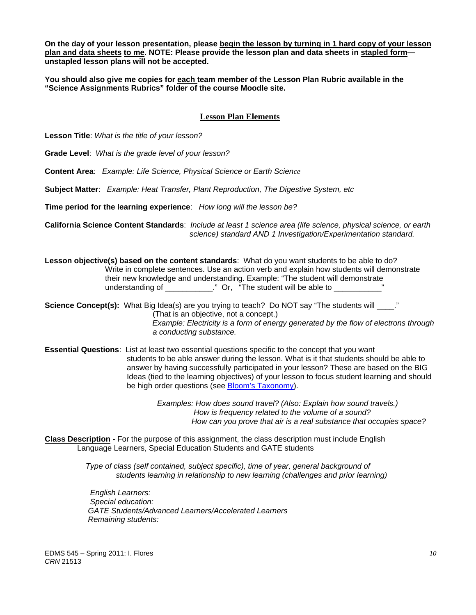**On the day of your lesson presentation, please begin the lesson by turning in 1 hard copy of your lesson plan and data sheets to me. NOTE: Please provide the lesson plan and data sheets in stapled form unstapled lesson plans will not be accepted.** 

**You should also give me copies for each team member of the Lesson Plan Rubric available in the "Science Assignments Rubrics" folder of the course Moodle site.** 

# **Lesson Plan Elements**

**Lesson Title**: *What is the title of your lesson?* 

**Grade Level**: *What is the grade level of your lesson?* 

**Content Area**: *Example: Life Science, Physical Science or Earth Science* 

**Subject Matter**: *Example: Heat Transfer, Plant Reproduction, The Digestive System, etc* 

**Time period for the learning experience**: *How long will the lesson be?* 

**California Science Content Standards**: *Include at least 1 science area (life science, physical science, or earth science) standard AND 1 Investigation/Experimentation standard.* 

**Lesson objective(s) based on the content standards**: What do you want students to be able to do? Write in complete sentences. Use an action verb and explain how students will demonstrate their new knowledge and understanding. Example: "The student will demonstrate understanding of \_\_\_\_\_\_\_\_\_\_\_\_." Or, "The student will be able to \_\_\_\_\_\_\_\_\_\_\_\_

**Science Concept(s):** What Big Idea(s) are you trying to teach? Do NOT say "The students will \_\_\_\_." (That is an objective, not a concept.) *Example: Electricity is a form of energy generated by the flow of electrons through a conducting substance.* 

 **Essential Questions**: List at least two essential questions specific to the concept that you want students to be able answer during the lesson. What is it that students should be able to answer by having successfully participated in your lesson? These are based on the BIG Ideas (tied to the learning objectives) of your lesson to focus student learning and should be high order questions (see Bloom's Taxonomy).

> *Examples: How does sound travel? (Also: Explain how sound travels.) How is frequency related to the volume of a sound? How can you prove that air is a real substance that occupies space?*

**Class Description -** For the purpose of this assignment, the class description must include English Language Learners, Special Education Students and GATE students

> *Type of class (self contained, subject specific), time of year, general background of students learning in relationship to new learning (challenges and prior learning)*

*English Learners: Special education: GATE Students/Advanced Learners/Accelerated Learners Remaining students:*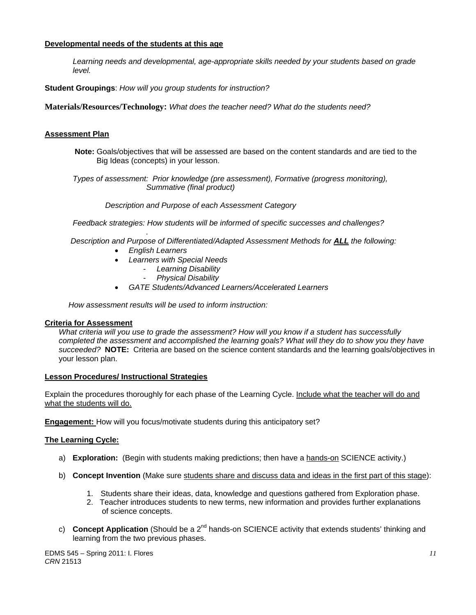# **Developmental needs of the students at this age**

*Learning needs and developmental, age-appropriate skills needed by your students based on grade level.* 

**Student Groupings**: *How will you group students for instruction?* 

**Materials/Resources/Technology:** *What does the teacher need? What do the students need?* 

# **Assessment Plan**

**Note:** Goals/objectives that will be assessed are based on the content standards and are tied to the Big Ideas (concepts) in your lesson.

 *Types of assessment: Prior knowledge (pre assessment), Formative (progress monitoring), Summative (final product)* 

 *Description and Purpose of each Assessment Category* 

 *Feedback strategies: How students will be informed of specific successes and challenges?* 

*. Description and Purpose of Differentiated/Adapted Assessment Methods for ALL the following:* 

- *English Learners*
- *Learners with Special Needs* 
	- *Learning Disability*
	- *Physical Disability*
- *GATE Students/Advanced Learners/Accelerated Learners*

 *How assessment results will be used to inform instruction:* 

#### **Criteria for Assessment**

 *succeeded?* **NOTE:** Criteria are based on the science content standards and the learning goals/objectives in *What criteria will you use to grade the assessment? How will you know if a student has successfully completed the assessment and accomplished the learning goals? What will they do to show you they have*  your lesson plan.

#### **Lesson Procedures/ Instructional Strategies**

what the students will do. Explain the procedures thoroughly for each phase of the Learning Cycle. Include what the teacher will do and

**Engagement:** How will you focus/motivate students during this anticipatory set?

#### **The Learning Cycle:**

- a) **Exploration:** (Begin with students making predictions; then have a hands-on SCIENCE activity.)
- b) **Concept Invention** (Make sure students share and discuss data and ideas in the first part of this stage):
	- 1. Students share their ideas, data, knowledge and questions gathered from Exploration phase.
	- 2. Teacher introduces students to new terms, new information and provides further explanations of science concepts.
- c) **Concept Application** (Should be a 2<sup>nd</sup> hands-on SCIENCE activity that extends students' thinking and learning from the two previous phases.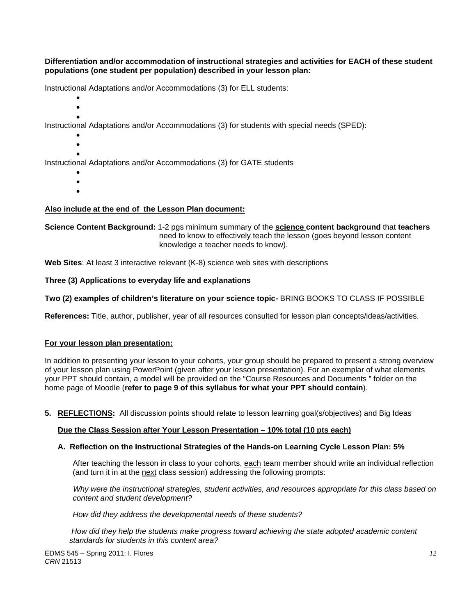**Differentiation and/or accommodation of instructional strategies and activities for EACH of these student populations (one student per population) described in your lesson plan:** 

Instructional Adaptations and/or Accommodations (3) for ELL students:

- $\bullet$
- $\bullet$  $\bullet$

Instructional Adaptations and/or Accommodations (3) for students with special needs (SPED):

- $\bullet$
- $\bullet$

 $\bullet$ Instructional Adaptations and/or Accommodations (3) for GATE students

- $\bullet$
- $\bullet$
- $\bullet$

# **Also include at the end of the Lesson Plan document:**

**Science Content Background:** 1-2 pgs minimum summary of the **science content background** that **teachers** need to know to effectively teach the lesson (goes beyond lesson content knowledge a teacher needs to know).

**Web Sites**: At least 3 interactive relevant (K-8) science web sites with descriptions

Three (3) Applications to everyday life and explanations

Two (2) examples of children's literature on your science topic- BRING BOOKS TO CLASS IF POSSIBLE

**References:** Title, author, publisher, year of all resources consulted for lesson plan concepts/ideas/activities.

#### **For your lesson plan presentation:**

In addition to presenting your lesson to your cohorts, your group should be prepared to present a strong overview of your lesson plan using PowerPoint (given after your lesson presentation). For an exemplar of what elements your PPT should contain, a model will be provided on the "Course Resources and Documents " folder on the home page of Moodle (**refer to page 9 of this syllabus for what your PPT should contain**).

**5. REFLECTIONS:** All discussion points should relate to lesson learning goal(s/objectives) and Big Ideas

#### **Due the Class Session after Your Lesson Presentation – 10% total (10 pts each)**

#### **A. Reflection on the Instructional Strategies of the Hands-on Learning Cycle Lesson Plan: 5%**

After teaching the lesson in class to your cohorts, <u>each</u> team member should write an individual reflection (and turn it in at the <u>next</u> class session) addressing the following prompts:

content and student development?  *Why were the instructional strategies, student activities, and resources appropriate for this class based on* 

*content and student development? How did they address the developmental needs of these students?*

 *standards for students in this content area? How did they help the students make progress toward achieving the state adopted academic content*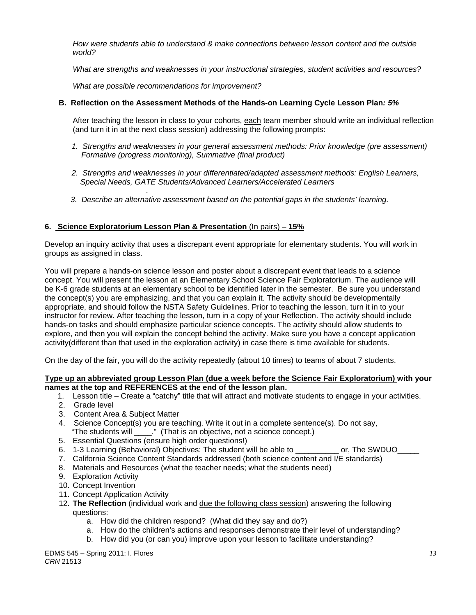*How were students able to understand & make connections between lesson content and the outside world?* 

*What are strengths and weaknesses in your instructional strategies, student activities and resources?* 

 *What are possible recommendations for improvement?* 

# **B. Reflection on the Assessment Methods of the Hands-on Learning Cycle Lesson Plan***: 5%*

After teaching the lesson in class to your cohorts, each team member should write an individual reflection (and turn it in at the next class session) addressing the following prompts:

- 1. Strengths and weaknesses in your general assessment methods: Prior knowledge (pre assessment)  *Formative (progress monitoring), Summative (final product)*
- *2. Strengths and weaknesses in your differentiated/adapted assessment methods: English Learners, Special Needs, GATE Students/Advanced Learners/Accelerated Learners*
- *. 3. Describe an alternative assessment based on the potential gaps in the students' learning.*

# **6. Science Exploratorium Lesson Plan & Presentation** (In pairs) – **15%**

Develop an inquiry activity that uses a discrepant event appropriate for elementary students. You will work in groups as assigned in class.

You will prepare a hands-on science lesson and poster about a discrepant event that leads to a science concept. You will present the lesson at an Elementary School Science Fair Exploratorium. The audience will be K-6 grade students at an elementary school to be identified later in the semester. Be sure you understand the concept(s) you are emphasizing, and that you can explain it. The activity should be developmentally appropriate, and should follow the NSTA Safety Guidelines. Prior to teaching the lesson, turn it in to your instructor for review. After teaching the lesson, turn in a copy of your Reflection. The activity should include hands-on tasks and should emphasize particular science concepts. The activity should allow students to explore, and then you will explain the concept behind the activity. Make sure you have a concept application activity(different than that used in the exploration activity) in case there is time available for students.

On the day of the fair, you will do the activity repeatedly (about 10 times) to teams of about 7 students.

#### **Type up an abbreviated group Lesson Plan (due a week before the Science Fair Exploratorium) with your names at the top and REFERENCES at the end of the lesson plan.**

- 1. Lesson title Create a "catchy" title that will attract and motivate students to engage in your activities.
- 2. Grade level
- 3. Content Area & Subject Matter
- 4. Science Concept(s) you are teaching. Write it out in a complete sentence(s). Do not say, "The students will \_\_\_\_." (That is an objective, not a science concept.)
- 5. Essential Questions (ensure high order questions!)
- 6. 1-3 Learning (Behavioral) Objectives: The student will be able to example or, The SWDUO
- 7. California Science Content Standards addressed (both science content and I/E standards)
- 8. Materials and Resources (what the teacher needs; what the students need)
- 9. Exploration Activity
- 10. Concept Invention
- 11. Concept Application Activity
- 12. **The Reflection** (individual work and due the following class session) answering the following questions:
	- a. How did the children respond? (What did they say and do?)
	- a. How do the children's actions and responses demonstrate their level of understanding?
	- b. How did you (or can you) improve upon your lesson to facilitate understanding?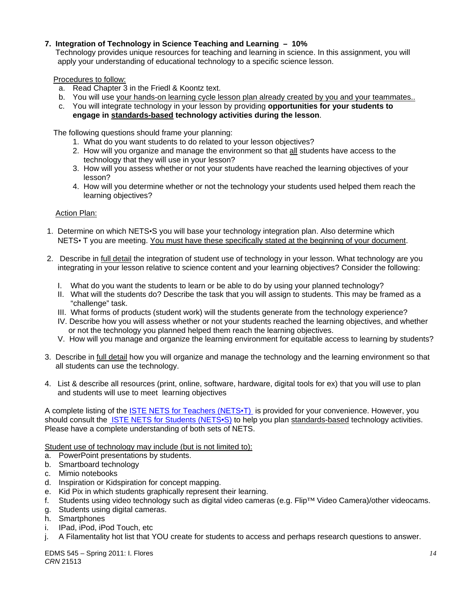# **7. Integration of Technology in Science Teaching and Learning – 10%**

 Technology provides unique resources for teaching and learning in science. In this assignment, you will apply your understanding of educational technology to a specific science lesson.

Procedures to follow:

- a. Read Chapter 3 in the Friedl & Koontz text.
- b. You will use your hands-on learning cycle lesson plan already created by you and your teammates..
- c. You will integrate technology in your lesson by providing **opportunities for your students to engage in standards-based technology activities during the lesson**.

The following questions should frame your planning:

- 1. What do you want students to do related to your lesson objectives?
- 2. How will you organize and manage the environment so that all students have access to the technology that they will use in your lesson?
- 3. How will you assess whether or not your students have reached the learning objectives of your lesson?
- 4. How will you determine whether or not the technology your students used helped them reach the learning objectives?

Action Plan:

- 1. Determine on which NETS•S you will base your technology integration plan. Also determine which NETS• T you are meeting. You must have these specifically stated at the beginning of your document.
- 2. Describe in full detail the integration of student use of technology in your lesson. What technology are you integrating in your lesson relative to science content and your learning objectives? Consider the following:
	- I. What do you want the students to learn or be able to do by using your planned technology?
	- II. What will the students do? Describe the task that you will assign to students. This may be framed as a "challenge" task.
	- III. What forms of products (student work) will the students generate from the technology experience?
	- IV. Describe how you will assess whether or not your students reached the learning objectives, and whether or not the technology you planned helped them reach the learning objectives.
	- V. How will you manage and organize the learning environment for equitable access to learning by students?
- 3. Describe in full detail how you will organize and manage the technology and the learning environment so that all students can use the technology.
- 4. List & describe all resources (print, online, software, hardware, digital tools for ex) that you will use to plan and students will use to meet learning objectives

A complete listing of the **ISTE NETS for Teachers (NETS**<sup>+</sup>T) is provided for your convenience. However, you should consult the ISTE NETS for Students (NETS•S) to help you plan standards-based technology activities. Please have a complete understanding of both sets of NETS.

Student use of technology may include (but is not limited to):

- a. PowerPoint presentations by students.
- b. Smartboard technology
- c. Mimio notebooks
- d. Inspiration or Kidspiration for concept mapping.
- e. Kid Pix in which students graphically represent their learning.
- f. Students using video technology such as digital video cameras (e.g. Flip™ Video Camera)/other videocams.
- g. Students using digital cameras.
- h. Smartphones
- i. IPad, iPod, iPod Touch, etc
- j. A Filamentality hot list that YOU create for students to access and perhaps research questions to answer.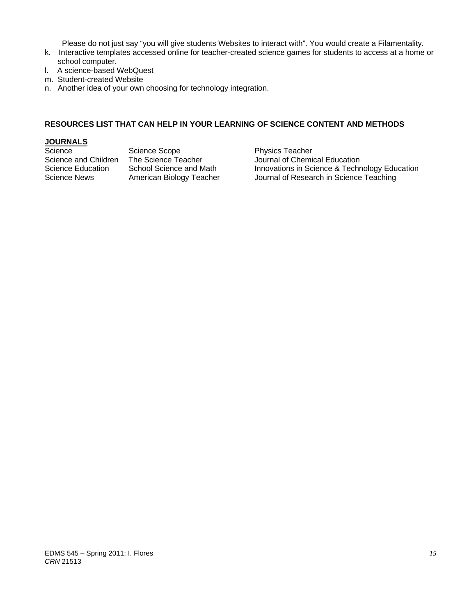Please do not just say "you will give students Websites to interact with". You would create a Filamentality.

- k. Interactive templates accessed online for teacher-created science games for students to access at a home or school computer.
- l. A science-based WebQuest
- m. Student-created Website
- n. Another idea of your own choosing for technology integration.

# **RESOURCES LIST THAT CAN HELP IN YOUR LEARNING OF SCIENCE CONTENT AND METHODS**

# **JOURNALS**

Science Scope Science Scope Physics Teacher<br>Science and Children The Science Teacher Science Journal of Chemic

Journal of Chemical Education Science Education School Science and Math Innovations in Science & Technology Education Science News American Biology Teacher Journal of Research in Science Teaching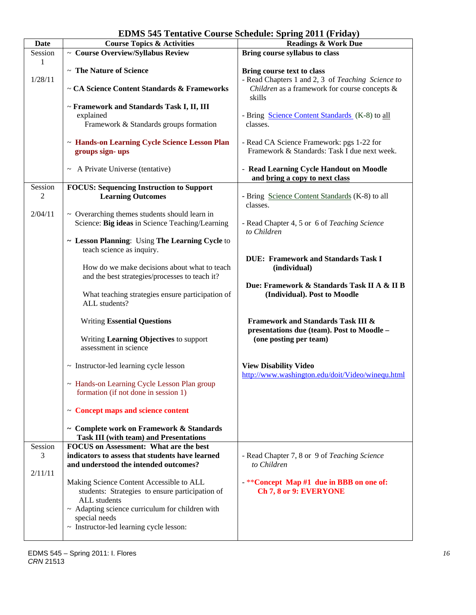| <b>EDMS 545 Tentative Course Schedule: Spring 2011 (Friday)</b> |  |  |  |  |  |  |
|-----------------------------------------------------------------|--|--|--|--|--|--|
|-----------------------------------------------------------------|--|--|--|--|--|--|

| <b>Date</b> | <b>Course Topics &amp; Activities</b>                | <b>Readings &amp; Work Due</b>                    |  |
|-------------|------------------------------------------------------|---------------------------------------------------|--|
| Session     | ~ Course Overview/Syllabus Review                    | Bring course syllabus to class                    |  |
| 1           |                                                      |                                                   |  |
|             | ~ The Nature of Science                              | Bring course text to class                        |  |
| 1/28/11     |                                                      | - Read Chapters 1 and 2, 3 of Teaching Science to |  |
|             | ~ CA Science Content Standards & Frameworks          | Children as a framework for course concepts &     |  |
|             |                                                      |                                                   |  |
|             |                                                      | skills                                            |  |
|             | ~ Framework and Standards Task I, II, III            |                                                   |  |
|             | explained                                            | - Bring Science Content Standards (K-8) to all    |  |
|             | Framework & Standards groups formation               | classes.                                          |  |
|             |                                                      |                                                   |  |
|             |                                                      |                                                   |  |
|             | ~ Hands-on Learning Cycle Science Lesson Plan        | - Read CA Science Framework: pgs 1-22 for         |  |
|             | groups sign-ups                                      | Framework & Standards: Task I due next week.      |  |
|             |                                                      |                                                   |  |
|             | $\sim$ A Private Universe (tentative)                | - Read Learning Cycle Handout on Moodle           |  |
|             |                                                      | and bring a copy to next class                    |  |
|             |                                                      |                                                   |  |
| Session     | <b>FOCUS: Sequencing Instruction to Support</b>      |                                                   |  |
| 2           | <b>Learning Outcomes</b>                             | - Bring Science Content Standards (K-8) to all    |  |
|             |                                                      | classes.                                          |  |
| 2/04/11     | $\sim$ Overarching themes students should learn in   |                                                   |  |
|             | Science: Big ideas in Science Teaching/Learning      | - Read Chapter 4, 5 or 6 of Teaching Science      |  |
|             |                                                      | to Children                                       |  |
|             |                                                      |                                                   |  |
|             | ~ Lesson Planning: Using The Learning Cycle to       |                                                   |  |
|             | teach science as inquiry.                            |                                                   |  |
|             |                                                      | <b>DUE: Framework and Standards Task I</b>        |  |
|             | How do we make decisions about what to teach         | (individual)                                      |  |
|             | and the best strategies/processes to teach it?       |                                                   |  |
|             |                                                      |                                                   |  |
|             |                                                      | Due: Framework & Standards Task II A & II B       |  |
|             | What teaching strategies ensure participation of     | (Individual). Post to Moodle                      |  |
|             | ALL students?                                        |                                                   |  |
|             |                                                      |                                                   |  |
|             | <b>Writing Essential Questions</b>                   | <b>Framework and Standards Task III &amp;</b>     |  |
|             |                                                      | presentations due (team). Post to Moodle -        |  |
|             |                                                      |                                                   |  |
|             | Writing Learning Objectives to support               | (one posting per team)                            |  |
|             | assessment in science                                |                                                   |  |
|             |                                                      |                                                   |  |
|             | $\sim$ Instructor-led learning cycle lesson          | <b>View Disability Video</b>                      |  |
|             |                                                      | http://www.washington.edu/doit/Video/winequ.html  |  |
|             | - Hands-on Learning Cycle Lesson Plan group          |                                                   |  |
|             |                                                      |                                                   |  |
|             | formation (if not done in session 1)                 |                                                   |  |
|             |                                                      |                                                   |  |
|             | $\sim$ Concept maps and science content              |                                                   |  |
|             |                                                      |                                                   |  |
|             | ~ Complete work on Framework & Standards             |                                                   |  |
|             | <b>Task III (with team) and Presentations</b>        |                                                   |  |
|             |                                                      |                                                   |  |
| Session     | <b>FOCUS</b> on Assessment: What are the best        |                                                   |  |
| 3           | indicators to assess that students have learned      | - Read Chapter 7, 8 or 9 of Teaching Science      |  |
|             | and understood the intended outcomes?                | to Children                                       |  |
| 2/11/11     |                                                      |                                                   |  |
|             | Making Science Content Accessible to ALL             | $***$ Concept Map #1 due in BBB on one of:        |  |
|             |                                                      |                                                   |  |
|             | students: Strategies to ensure participation of      | Ch 7, 8 or 9: EVERYONE                            |  |
|             | ALL students                                         |                                                   |  |
|             | $\sim$ Adapting science curriculum for children with |                                                   |  |
|             | special needs                                        |                                                   |  |
|             | ~ Instructor-led learning cycle lesson:              |                                                   |  |
|             |                                                      |                                                   |  |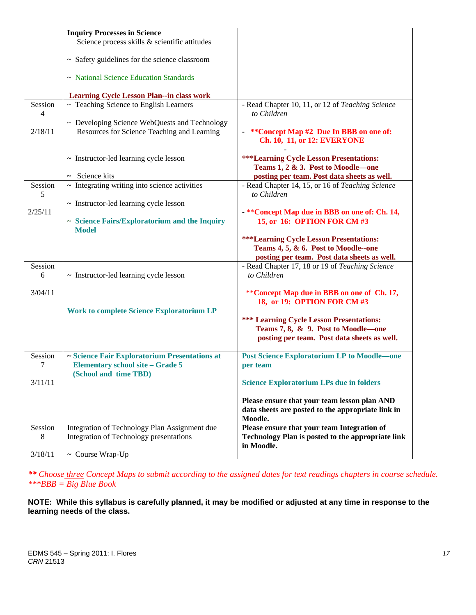|              | <b>Inquiry Processes in Science</b>                                                          |                                                                                                                |
|--------------|----------------------------------------------------------------------------------------------|----------------------------------------------------------------------------------------------------------------|
|              | Science process skills & scientific attitudes                                                |                                                                                                                |
|              | ~ Safety guidelines for the science classroom                                                |                                                                                                                |
|              | ~ National Science Education Standards                                                       |                                                                                                                |
|              | <b>Learning Cycle Lesson Plan--in class work</b>                                             |                                                                                                                |
| Session<br>4 | $\overline{\sim}$ Teaching Science to English Learners                                       | - Read Chapter 10, 11, or 12 of Teaching Science<br>to Children                                                |
| 2/18/11      | ~ Developing Science WebQuests and Technology<br>Resources for Science Teaching and Learning | **Concept Map #2 Due In BBB on one of:<br><b>Ch. 10, 11, or 12: EVERYONE</b>                                   |
|              | ~ Instructor-led learning cycle lesson<br>$\sim$ Science kits                                | <b>***Learning Cycle Lesson Presentations:</b><br>Teams 1, 2 & 3. Post to Moodle-one                           |
| Session      | $\sim$ Integrating writing into science activities                                           | posting per team. Post data sheets as well.<br>- Read Chapter 14, 15, or 16 of Teaching Science<br>to Children |
| 5            | $\sim$ Instructor-led learning cycle lesson                                                  |                                                                                                                |
| 2/25/11      | ~ Science Fairs/Exploratorium and the Inquiry<br><b>Model</b>                                | - ** Concept Map due in BBB on one of: Ch. 14,<br>15, or 16: OPTION FOR CM #3                                  |
|              |                                                                                              | <b>***Learning Cycle Lesson Presentations:</b>                                                                 |
|              |                                                                                              | Teams 4, 5, & 6. Post to Moodle--one                                                                           |
| Session      |                                                                                              | posting per team. Post data sheets as well.<br>- Read Chapter 17, 18 or 19 of Teaching Science                 |
| 6            | $\sim$ Instructor-led learning cycle lesson                                                  | to Children                                                                                                    |
| 3/04/11      |                                                                                              | **Concept Map due in BBB on one of Ch. 17,<br>18, or 19: OPTION FOR CM #3                                      |
|              | <b>Work to complete Science Exploratorium LP</b>                                             |                                                                                                                |
|              |                                                                                              | <b>*** Learning Cycle Lesson Presentations:</b>                                                                |
|              |                                                                                              | Teams 7, 8, & 9. Post to Moodle—one<br>posting per team. Post data sheets as well.                             |
| Session<br>7 | ~ Science Fair Exploratorium Presentations at<br><b>Elementary school site - Grade 5</b>     | <b>Post Science Exploratorium LP to Moodle-one</b><br>per team                                                 |
| 3/11/11      | (School and time TBD)                                                                        | <b>Science Exploratorium LPs due in folders</b>                                                                |
|              |                                                                                              | Please ensure that your team lesson plan AND<br>data sheets are posted to the appropriate link in<br>Moodle.   |
| Session<br>8 | Integration of Technology Plan Assignment due<br>Integration of Technology presentations     | Please ensure that your team Integration of<br>Technology Plan is posted to the appropriate link<br>in Moodle. |
| 3/18/11      | ~ Course Wrap-Up                                                                             |                                                                                                                |

*\*\* Choose three Concept Maps to submit according to the assigned dates for text readings chapters in course schedule. \*\*\*BBB = Big Blue Book* 

**NOTE: While this syllabus is carefully planned, it may be modified or adjusted at any time in response to the learning needs of the class.**